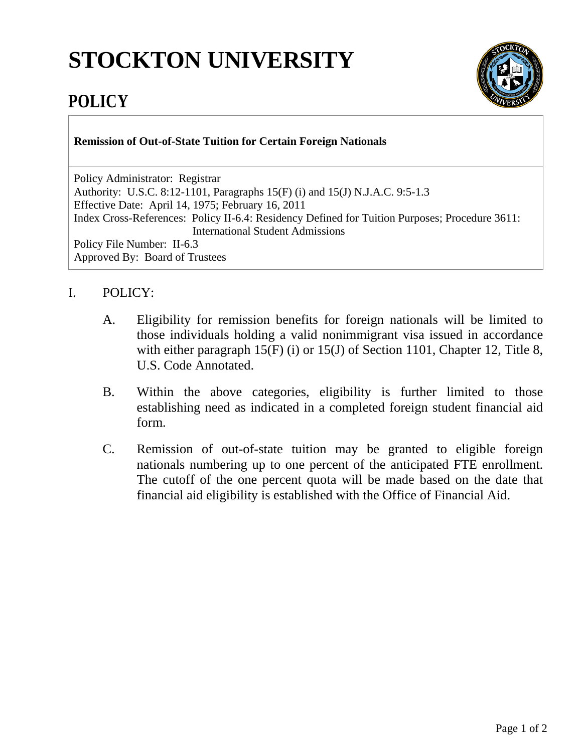## **STOCKTON UNIVERSITY**



## **POLICY**

**Remission of Out-of-State Tuition for Certain Foreign Nationals**

Policy Administrator: Registrar Authority: U.S.C. 8:12-1101, Paragraphs 15(F) (i) and 15(J) N.J.A.C. 9:5-1.3 Effective Date: April 14, 1975; February 16, 2011 Index Cross-References: Policy II-6.4: Residency Defined for Tuition Purposes; Procedure 3611: International Student Admissions Policy File Number: II-6.3 Approved By: Board of Trustees

## I. POLICY:

- A. Eligibility for remission benefits for foreign nationals will be limited to those individuals holding a valid nonimmigrant visa issued in accordance with either paragraph 15(F) (i) or 15(J) of Section 1101, Chapter 12, Title 8, U.S. Code Annotated.
- B. Within the above categories, eligibility is further limited to those establishing need as indicated in a completed foreign student financial aid form.
- C. Remission of out-of-state tuition may be granted to eligible foreign nationals numbering up to one percent of the anticipated FTE enrollment. The cutoff of the one percent quota will be made based on the date that financial aid eligibility is established with the Office of Financial Aid.